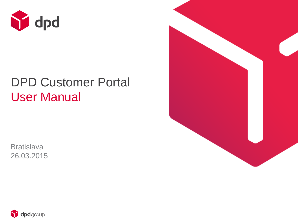

# DPD Customer Portal User Manual

**Bratislava** 26.03.2015



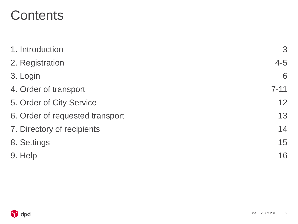# **Contents**

| 1. Introduction                 | 3        |
|---------------------------------|----------|
| 2. Registration                 | $4 - 5$  |
| 3. Login                        | 6        |
| 4. Order of transport           | $7 - 11$ |
| 5. Order of City Service        | 12       |
| 6. Order of requested transport | 13       |
| 7. Directory of recipients      | 14       |
| 8. Settings                     | 15       |
| 9. Help                         | 16       |

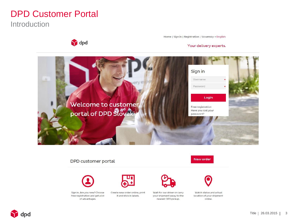### DPD Customer Portal

dpd

**Introduction** 

Home | Sign in | Registration | Slovensky • English

#### Your delivery experts.



#### DPD customer portal

Sign in. Are you new? Choose free registration and get a lot of advantages.



Create new order online, print it and stick in labels.







New order

Watch status and actual location of your shipment online.

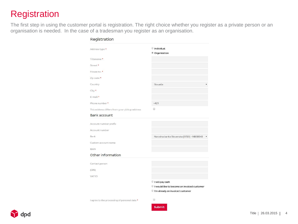### **Registration**

The first step in using the customer portal is registration. The right choice whether you register as a private person or an organisation is needed. In the case of a tradesman you register as an organisation.

| Address type *                                | <b>Individual</b>                           |
|-----------------------------------------------|---------------------------------------------|
|                                               | <sup>®</sup> Organization                   |
| Titlename *                                   |                                             |
| Street *                                      |                                             |
| House no. *                                   |                                             |
| Zip code *                                    |                                             |
| Country                                       | Slovakia                                    |
| City *                                        |                                             |
| $E$ -mail $\star$                             |                                             |
| Phone number *                                | $+421$                                      |
| This address differs from your pickup address | 0                                           |
| Bank account                                  |                                             |
| Account number prefix                         |                                             |
| Account number                                |                                             |
| Bank                                          | Narodna banka Slovenska [0720] - NBSBSKE    |
| Custom account name                           |                                             |
| <b>IBAN</b>                                   |                                             |
| Other information                             |                                             |
| Contact person                                |                                             |
| (OIN)                                         |                                             |
| <b>VATID</b>                                  |                                             |
|                                               | I will pay cash                             |
|                                               | I would like to become an invoiced customer |
|                                               |                                             |

I agree to the processing of personal data



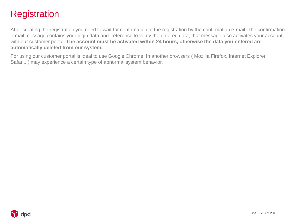### **Registration**

After creating the registration you need to wait for confirmation of the registration by the confirmation e-mail. The confirmation e-mail message contains your login data and reference to verify the entered data; that message also activates your account with our customer portal. **The account must be activated within 24 hours, otherwise the data you entered are automatically deleted from our system.** 

For using our customer portal is ideal to use Google Chrome. In another browsers ( Mozilla Firefox, Internet Explorer, Safari...) may experience a certain type of abnormal system behavior.

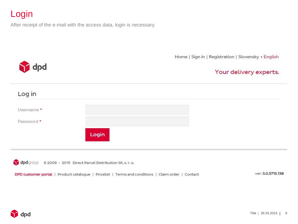### Login

After receipt of the e-mail with the access data, login is necessary.

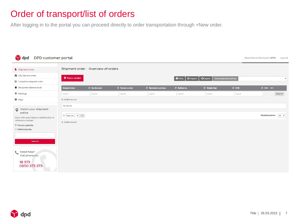### Order of transport/list of orders

After logging in to the portal you can proceed directly to order transportation through +New order.

| dpd<br>DPD customer portal                                                                                                                                 |                                                 |                                     |                  |                        |                |                |                       | Direct Parcel Distribution (874)<br>Log out |
|------------------------------------------------------------------------------------------------------------------------------------------------------------|-------------------------------------------------|-------------------------------------|------------------|------------------------|----------------|----------------|-----------------------|---------------------------------------------|
| Shipment order                                                                                                                                             |                                                 | Shipment order / Overview of orders |                  |                        |                |                |                       |                                             |
| <b>A</b> City Service order                                                                                                                                | + New order                                     |                                     |                  |                        | <b>A</b> Print |                | Odosielateľská adresa |                                             |
| C Collection request order                                                                                                                                 |                                                 |                                     |                  |                        | $C$ lmport     | *JExport       |                       | $\pmb{\mathbf{v}}$                          |
| Recipient address book                                                                                                                                     | <b>Dispatch date</b>                            | IT Service text                     | IT Parcel number | IT Recipient's address | IT Reference   | IT Weight (kg) | IT COD                | It sms iDC                                  |
| <b>☆</b> Settings                                                                                                                                          | Search                                          | Search                              | Search           | Search                 | Search         | Search         | Search                | Search                                      |
| $\Theta$ Help                                                                                                                                              | 0-0 of 0 records                                |                                     |                  |                        |                |                |                       |                                             |
| Watch your shipment<br>online<br>Start with specifying a indetification or<br>reference number<br><sup>●</sup> Parcel Label No.<br>Reference No.<br>Search | No results<br>Selected v OK<br>0-0 of 0 records |                                     |                  |                        |                |                |                       | Displaying items: 20 v                      |
| Need help?<br>$\epsilon$<br>Call phone no.:<br>18 373<br>0850 373 373                                                                                      |                                                 |                                     |                  |                        |                |                |                       |                                             |

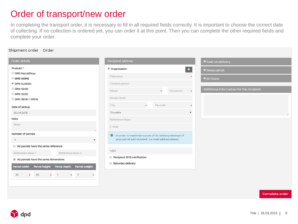### Order of transport/new order

In completing the transport order, it is necessary to fill in all required fields correctly. It is important to choose the correct date of collecting. If no collection is ordered yet, you can order it at this point. Then you can complete the other required fields and complete your order.

#### Shipment order / Order Order details **Recipient address** Cash on delivery Produkt \* <sup>●</sup> Organization ES. Swap parcel DPD ParcelShop Titlename **ID Check** O DPD HOME <sup>®</sup> DPD CLASSIC Contact person DPD 10:00 Additional information for the recipient Street House no.  $\star$ O DPD 12:00 Street detail DPD 18:00 / DPDG City Zip code Date of pickup Slovakia 30.04.2015 Note Reference value Note E-mail Number of parcels **0** In order to maximize succes of 1st delivery attempt of your parcel add recipient's e-mail address please.  $\overline{1}$ All parcels have the same reference  $+421$ Reference value 1 Reference value 2 Recipient SMS notification  $\triangleleft$  All parcels have the same dimensions Saturday delivery Parcel width Parcel height Parcel depth Parcel weight  $\star$  1  $\star$  45 35  $\mathbf{1}$  $\star$  $\star$

Complete order

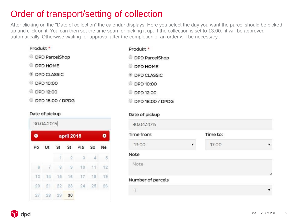## Order of transport/setting of collection

After clicking on the "Date of collection" the calendar displays. Here you select the day you want the parcel should be picked up and click on it. You can then set the time span for picking it up. If the collection is set to 13.00., it will be approved automatically. Otherwise waiting for approval after the completion of an order will be necessary .

| Produkt *                        | Produkt *             |
|----------------------------------|-----------------------|
| <b>DPD ParcelShop</b><br>$\circ$ | <b>DPD ParcelShop</b> |
| <b>DPD HOME</b><br>0             | <b>DPD HOME</b>       |
| <b>ODPD CLASSIC</b>              | <b>DPD CLASSIC</b>    |
| <b>DPD 10:00</b>                 | DPD 10:00             |
| DPD 12:00                        | DPD 12:00             |
| DPD 18:00 / DPDG                 | DPD 18:00 / DPDG      |

### Date of pickup

|           | 30.04.2015    |          |                |     |          |    |  |
|-----------|---------------|----------|----------------|-----|----------|----|--|
| $\bullet$ |               |          | apríl 2015     |     |          | o  |  |
| Po        | Ut            | St St    |                | Pia | So       | Ne |  |
|           |               | $\lceil$ | $\overline{2}$ | 3   | $\Delta$ | 5  |  |
| 6         | $\mathcal{I}$ | 8        | 9              | 10  | 11       | 12 |  |
| 13        | 14            | 15       | 16             | 17  | 18       | 19 |  |
| 20        | 21            | 22       | 23             | 24  | -25      | 26 |  |
| 27        | 28            | 29       | 30             |     |          |    |  |

| Jate of pickup    |   |          |   |
|-------------------|---|----------|---|
| 30.04.2015        |   |          |   |
| Time from:        |   | Time to: |   |
| 13:00             | ▼ | 17:00    | ▼ |
| Vote              |   |          |   |
| Note              |   |          | h |
| Number of parcels |   |          |   |
| $\mathbf{1}$      |   |          |   |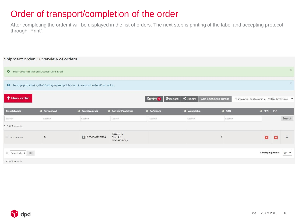### Order of transport/completion of the order

After completing the order it will be displayed in the list of orders. The next step is printing of the label and accepting protocol through "Print".

|                                          | Shipment order / Overview of orders                                                        |                  |                                        |                     |            |                |                       |        |                                             |                   |               |                          |
|------------------------------------------|--------------------------------------------------------------------------------------------|------------------|----------------------------------------|---------------------|------------|----------------|-----------------------|--------|---------------------------------------------|-------------------|---------------|--------------------------|
| O Your order has been successfuly saved. |                                                                                            |                  |                                        |                     |            |                |                       |        |                                             |                   |               | $\times$                 |
|                                          | <b>O</b> Teraz je potrebné vytlačiť štítky a pred príchodom kuriéra ich nalepiť na balíky. |                  |                                        |                     |            |                |                       |        |                                             |                   |               | $\times$                 |
| + New order                              |                                                                                            |                  |                                        | <b>De Print</b> 1   | $C$ lmport | *JExport       | Odosielateľská adresa |        | testovanie, testovacia 7, 82104, Bratislav. |                   |               |                          |
| <b>Dispatch date</b>                     | <b>IT</b> Service text                                                                     | IT Parcel number | IT Recipient's address                 | <b>IT</b> Reference |            | IT Weight (kg) |                       | If cop |                                             | It sms IDC        |               |                          |
| Search                                   | Search                                                                                     | Search           | Search                                 | Search              |            | Search         |                       | Search |                                             |                   |               | Search                   |
| 1-1 of 1 records                         |                                                                                            |                  |                                        |                     |            |                |                       |        |                                             |                   |               |                          |
| 30.04.2015                               | $\mathsf D$                                                                                | Q 06505012271724 | Titlename<br>Street 1<br>SK-82104 City |                     |            |                |                       |        |                                             | E                 | $\rightarrow$ | $\overline{\phantom{0}}$ |
| Selected v OK<br>1-1 of 1 records        |                                                                                            |                  |                                        |                     |            |                |                       |        |                                             | Displaying items: |               | $20 \bullet$             |
|                                          |                                                                                            |                  |                                        |                     |            |                |                       |        |                                             |                   |               |                          |

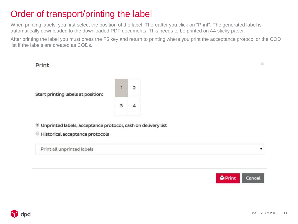### Order of transport/printing the label

When printing labels, you first select the position of the label. Thereafter you click on "Print". The generated label is automatically downloaded to the downloaded PDF documents. This needs to be printed on A4 sticky paper.

After printing the label you must press the F5 key and return to printing where you print the acceptance protocol or the COD list if the labels are created as CODs.



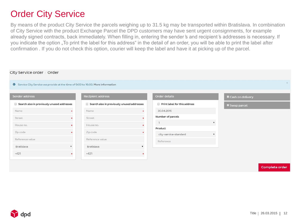### Order City Service

By means of the product City Service the parcels weighing up to 31.5 kg may be transported within Bratislava. In combination of City Service with the product Exchange Parcel the DPD customers may have sent urgent consignments, for example already signed contracts, back immediately. When filling in, entering the sender ̕s and recipient ̕s addresses is necessary. If you indicate the option "To print the label for this address" in the detail of an order, you will be able to print the label after confirmation . If you do not check this option, courier will keep the label and have it at picking up of the parcel.

| City Service order / Order                                                              |   |                                            |   |                              |                         |
|-----------------------------------------------------------------------------------------|---|--------------------------------------------|---|------------------------------|-------------------------|
| <b>O</b> Service City Service we provide at the time of 9:00 to 16:00. More information |   |                                            |   |                              | $\times$                |
| Sender address                                                                          |   | Recipient address                          |   | Order details                | Cash on delivery        |
| Search also in previously unused addresses                                              |   | Search also in previously unused addresses |   | Print label for this address | Swap parcel             |
| Name                                                                                    |   | Name                                       | ٠ | 30.04.2015                   |                         |
| Street                                                                                  |   | Street                                     |   | Number of parcels            |                         |
| House no.                                                                               |   | House no.                                  |   | $\overline{1}$               | $\overline{\mathbf{v}}$ |
| Zip code                                                                                |   | Zip code                                   |   | Product                      |                         |
|                                                                                         |   |                                            |   | city-service-standard        | $\mathbf{v}$            |
| Reference value                                                                         |   | Reference value                            |   | Reference                    |                         |
| Bratislava                                                                              | ▼ | Bratislava                                 |   |                              |                         |
| $+421$                                                                                  | ٠ | $+421$                                     |   |                              |                         |
|                                                                                         |   |                                            |   |                              |                         |

Complete order

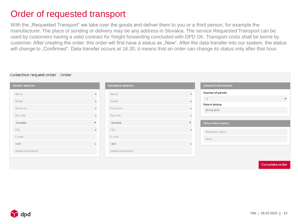### Order of requested transport

With the "Requested Transport" we take over the goods and deliver them to you or a third person, for example the manufacturer. The place of sending or delivery may be any address in Slovakia. The service Requested Transport can be used by customers having a valid contract for freight forwarding concluded with DPD SK. Transport costs shall be borne by customer. After creating the order, this order will first have a status as "New". After the data transfer into our system, the status will change to "Confirmed". Data transfer occurs at 16.30, it means that an order can change its status only after that hour.

#### Collection request order / Order

| Sender address     | Recipient address  | General information          |
|--------------------|--------------------|------------------------------|
| Name               | Name               | Number of parcels            |
| Street             | Street             | $\mathbf{1}$<br>$\mathbf{v}$ |
| House no.          | House no.          | Date of pickup               |
|                    |                    | 30.04.2015                   |
| Zip code           | Zip code           |                              |
| Slovakia           | Slovakia           | Other information            |
| City               | City               | Reference value              |
| E-mail             | E-mail             | Note                         |
| $+421$             | $+421$             |                              |
| Detail information | Detail information |                              |
|                    |                    |                              |

Complete orde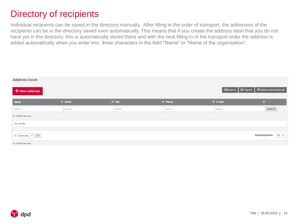### Directory of recipients

Individual recipients can be saved in the directory manually. After filling in the order of transport, the addresses of the recipients can be in the directory saved even automatically. This means that if you create the address label that you do not have yet in the directory, this is automatically stored there and with the next filling in of the transport order the address is added automatically when you enter min. three characters in the field "Name" or "Name of the organisation".

| Address book     |                |         |          |                             |                                   |
|------------------|----------------|---------|----------|-----------------------------|-----------------------------------|
| + New address    |                |         |          | $\bullet$ Export<br>*Import | X Delete addressbook              |
| Name             | $\land$ Street | If city | IT Phone | IT E-mail                   | $\mathbf{H}$                      |
| Search           | Search         | Search  | Search   | Search                      | Search                            |
| 0-0 of 0 records |                |         |          |                             |                                   |
| No results       |                |         |          |                             |                                   |
|                  |                |         |          |                             |                                   |
| Selected v OK    |                |         |          |                             | 20 $\bullet$<br>Displaying items: |
| 0-0 of 0 records |                |         |          |                             |                                   |

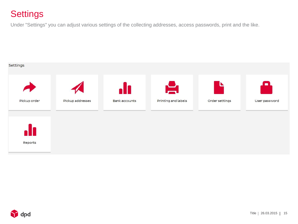### **Settings**

Under "Settings" you can adjust various settings of the collecting addresses, access passwords, print and the like.



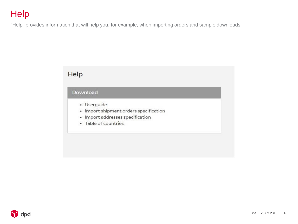## **Help**

"Help" provides information that will help you, for example, when importing orders and sample downloads.

### Help

### Download

- · Userguide
- Import shipment orders specification
- Import addresses specification
- Table of countries